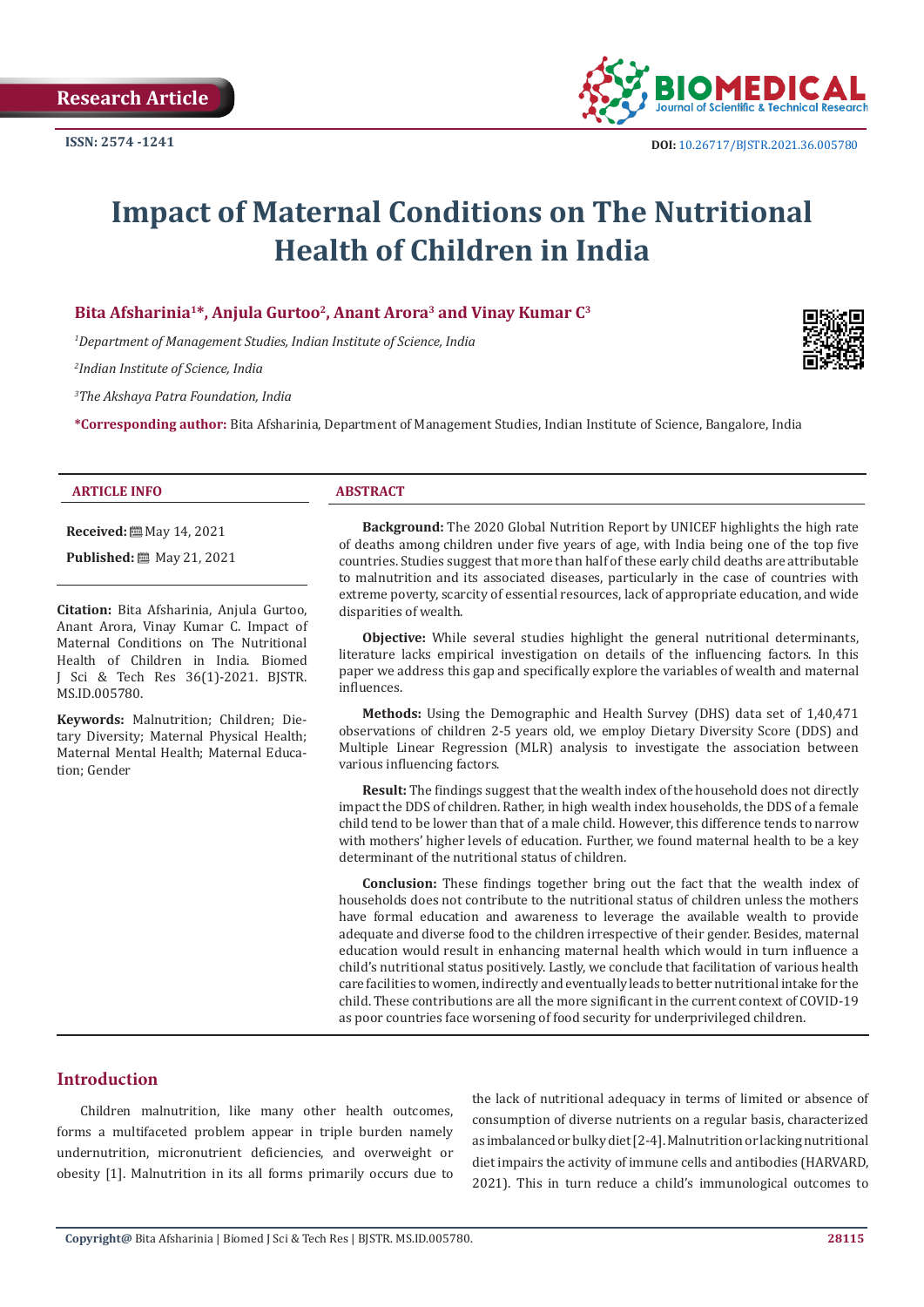

# **Impact of Maternal Conditions on The Nutritional Health of Children in India**

#### **Bita Afsharinia1\*, Anjula Gurtoo2, Anant Arora3 and Vinay Kumar C3**

*1 Department of Management Studies, Indian Institute of Science, India*

*2 Indian Institute of Science, India*

*3 The Akshaya Patra Foundation, India*

**\*Corresponding author:** Bita Afsharinia, Department of Management Studies, Indian Institute of Science, Bangalore, India

#### **ARTICLE INFO ABSTRACT**

**Received:** [8] May 14, 2021

**Published:** 圖 May 21, 2021

**Citation:** Bita Afsharinia, Anjula Gurtoo, Anant Arora, Vinay Kumar C. Impact of Maternal Conditions on The Nutritional Health of Children in India. Biomed J Sci & Tech Res 36(1)-2021. BJSTR. MS.ID.005780.

**Keywords:** Malnutrition; Children; Dietary Diversity; Maternal Physical Health; Maternal Mental Health; Maternal Education; Gender

**Background:** The 2020 Global Nutrition Report by UNICEF highlights the high rate of deaths among children under five years of age, with India being one of the top five countries. Studies suggest that more than half of these early child deaths are attributable to malnutrition and its associated diseases, particularly in the case of countries with extreme poverty, scarcity of essential resources, lack of appropriate education, and wide disparities of wealth.

**Objective:** While several studies highlight the general nutritional determinants, literature lacks empirical investigation on details of the influencing factors. In this paper we address this gap and specifically explore the variables of wealth and maternal influences.

**Methods:** Using the Demographic and Health Survey (DHS) data set of 1,40,471 observations of children 2-5 years old, we employ Dietary Diversity Score (DDS) and Multiple Linear Regression (MLR) analysis to investigate the association between various influencing factors.

**Result:** The findings suggest that the wealth index of the household does not directly impact the DDS of children. Rather, in high wealth index households, the DDS of a female child tend to be lower than that of a male child. However, this difference tends to narrow with mothers' higher levels of education. Further, we found maternal health to be a key determinant of the nutritional status of children.

**Conclusion:** These findings together bring out the fact that the wealth index of households does not contribute to the nutritional status of children unless the mothers have formal education and awareness to leverage the available wealth to provide adequate and diverse food to the children irrespective of their gender. Besides, maternal education would result in enhancing maternal health which would in turn influence a child's nutritional status positively. Lastly, we conclude that facilitation of various health care facilities to women, indirectly and eventually leads to better nutritional intake for the child. These contributions are all the more significant in the current context of COVID-19 as poor countries face worsening of food security for underprivileged children.

# **Introduction**

Children malnutrition, like many other health outcomes, forms a multifaceted problem appear in triple burden namely undernutrition, micronutrient deficiencies, and overweight or obesity [1]. Malnutrition in its all forms primarily occurs due to the lack of nutritional adequacy in terms of limited or absence of consumption of diverse nutrients on a regular basis, characterized as imbalanced or bulky diet [2-4]. Malnutrition or lacking nutritional diet impairs the activity of immune cells and antibodies (HARVARD, 2021). This in turn reduce a child's immunological outcomes to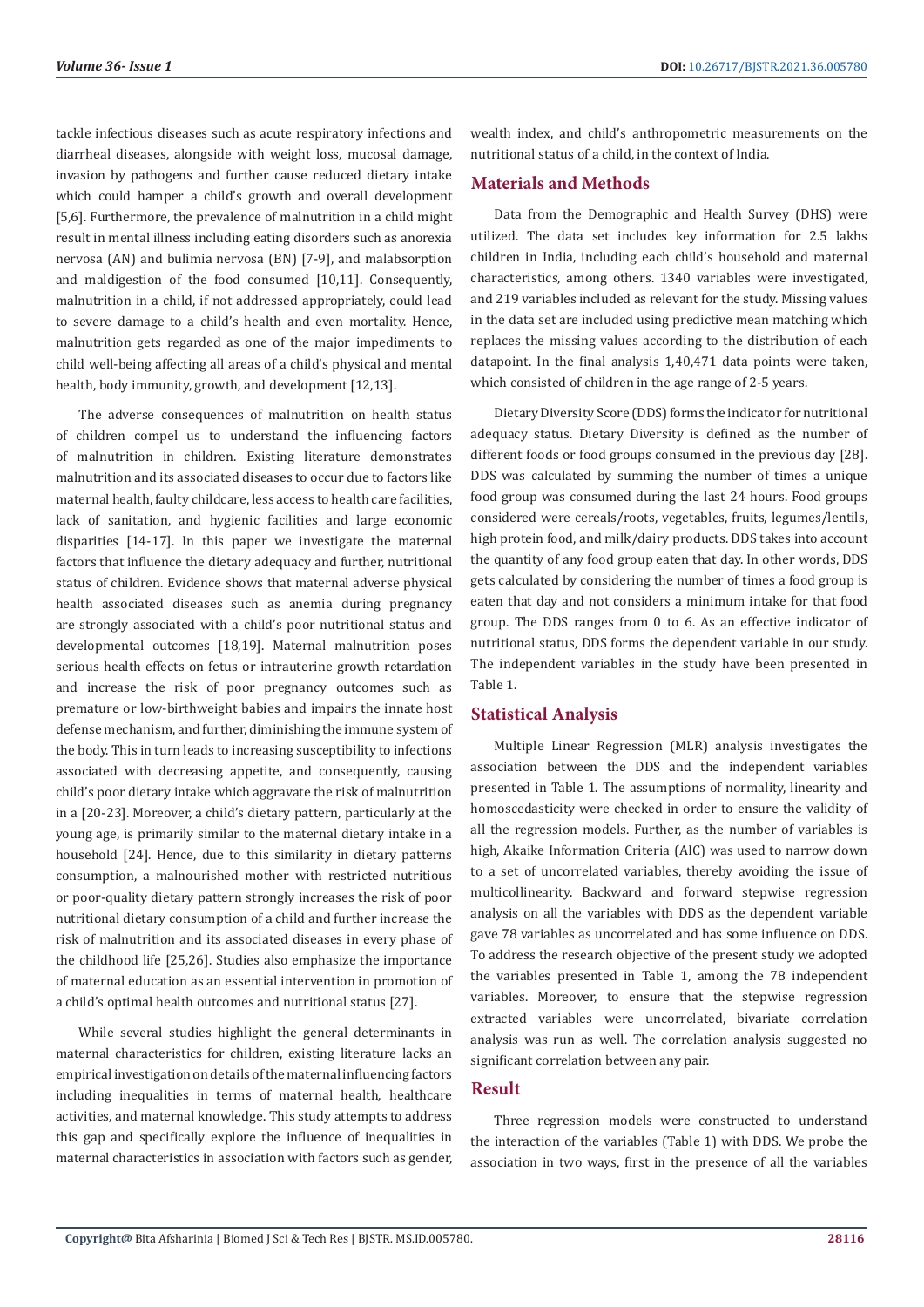tackle infectious diseases such as acute respiratory infections and diarrheal diseases, alongside with weight loss, mucosal damage, invasion by pathogens and further cause reduced dietary intake which could hamper a child's growth and overall development [5,6]. Furthermore, the prevalence of malnutrition in a child might result in mental illness including eating disorders such as anorexia nervosa (AN) and bulimia nervosa (BN) [7-9], and malabsorption and maldigestion of the food consumed [10,11]. Consequently, malnutrition in a child, if not addressed appropriately, could lead to severe damage to a child's health and even mortality. Hence, malnutrition gets regarded as one of the major impediments to child well-being affecting all areas of a child's physical and mental health, body immunity, growth, and development [12,13].

The adverse consequences of malnutrition on health status of children compel us to understand the influencing factors of malnutrition in children. Existing literature demonstrates malnutrition and its associated diseases to occur due to factors like maternal health, faulty childcare, less access to health care facilities, lack of sanitation, and hygienic facilities and large economic disparities [14-17]. In this paper we investigate the maternal factors that influence the dietary adequacy and further, nutritional status of children. Evidence shows that maternal adverse physical health associated diseases such as anemia during pregnancy are strongly associated with a child's poor nutritional status and developmental outcomes [18,19]. Maternal malnutrition poses serious health effects on fetus or intrauterine growth retardation and increase the risk of poor pregnancy outcomes such as premature or low-birthweight babies and impairs the innate host defense mechanism, and further, diminishing the immune system of the body. This in turn leads to increasing susceptibility to infections associated with decreasing appetite, and consequently, causing child's poor dietary intake which aggravate the risk of malnutrition in a [20-23]. Moreover, a child's dietary pattern, particularly at the young age, is primarily similar to the maternal dietary intake in a household [24]. Hence, due to this similarity in dietary patterns consumption, a malnourished mother with restricted nutritious or poor-quality dietary pattern strongly increases the risk of poor nutritional dietary consumption of a child and further increase the risk of malnutrition and its associated diseases in every phase of the childhood life [25,26]. Studies also emphasize the importance of maternal education as an essential intervention in promotion of a child's optimal health outcomes and nutritional status [27].

While several studies highlight the general determinants in maternal characteristics for children, existing literature lacks an empirical investigation on details of the maternal influencing factors including inequalities in terms of maternal health, healthcare activities, and maternal knowledge. This study attempts to address this gap and specifically explore the influence of inequalities in maternal characteristics in association with factors such as gender, wealth index, and child's anthropometric measurements on the nutritional status of a child, in the context of India.

#### **Materials and Methods**

Data from the Demographic and Health Survey (DHS) were utilized. The data set includes key information for 2.5 lakhs children in India, including each child's household and maternal characteristics, among others. 1340 variables were investigated, and 219 variables included as relevant for the study. Missing values in the data set are included using predictive mean matching which replaces the missing values according to the distribution of each datapoint. In the final analysis 1,40,471 data points were taken, which consisted of children in the age range of 2-5 years.

Dietary Diversity Score (DDS) forms the indicator for nutritional adequacy status. Dietary Diversity is defined as the number of different foods or food groups consumed in the previous day [28]. DDS was calculated by summing the number of times a unique food group was consumed during the last 24 hours. Food groups considered were cereals/roots, vegetables, fruits, legumes/lentils, high protein food, and milk/dairy products. DDS takes into account the quantity of any food group eaten that day. In other words, DDS gets calculated by considering the number of times a food group is eaten that day and not considers a minimum intake for that food group. The DDS ranges from 0 to 6. As an effective indicator of nutritional status, DDS forms the dependent variable in our study. The independent variables in the study have been presented in Table 1.

#### **Statistical Analysis**

Multiple Linear Regression (MLR) analysis investigates the association between the DDS and the independent variables presented in Table 1. The assumptions of normality, linearity and homoscedasticity were checked in order to ensure the validity of all the regression models. Further, as the number of variables is high, Akaike Information Criteria (AIC) was used to narrow down to a set of uncorrelated variables, thereby avoiding the issue of multicollinearity. Backward and forward stepwise regression analysis on all the variables with DDS as the dependent variable gave 78 variables as uncorrelated and has some influence on DDS. To address the research objective of the present study we adopted the variables presented in Table 1, among the 78 independent variables. Moreover, to ensure that the stepwise regression extracted variables were uncorrelated, bivariate correlation analysis was run as well. The correlation analysis suggested no significant correlation between any pair.

### **Result**

Three regression models were constructed to understand the interaction of the variables (Table 1) with DDS. We probe the association in two ways, first in the presence of all the variables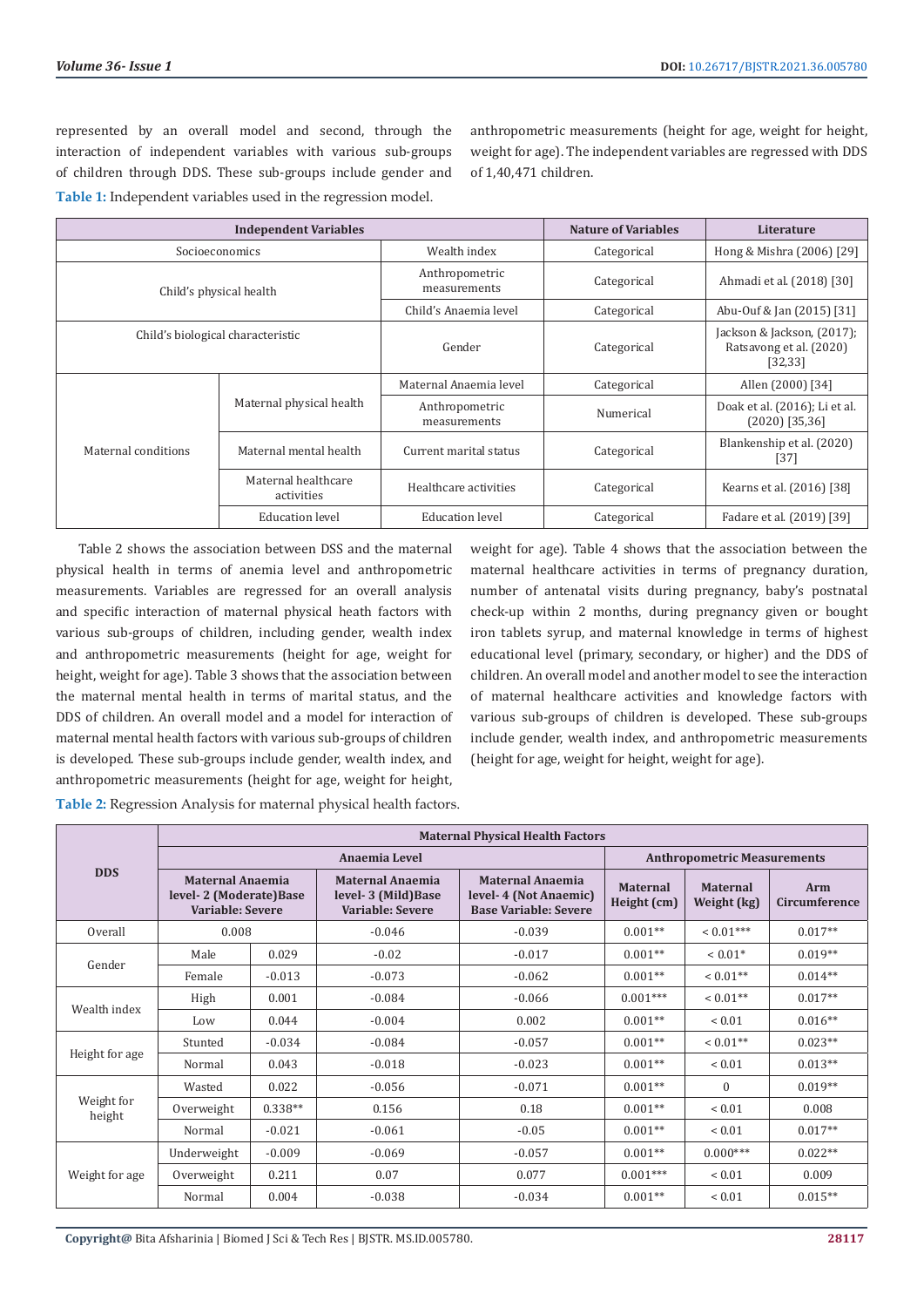represented by an overall model and second, through the interaction of independent variables with various sub-groups of children through DDS. These sub-groups include gender and **Table 1:** Independent variables used in the regression model.

anthropometric measurements (height for age, weight for height, weight for age). The independent variables are regressed with DDS of 1,40,471 children.

|                                   | <b>Independent Variables</b>      | <b>Nature of Variables</b>     | Literature  |                                                                   |  |
|-----------------------------------|-----------------------------------|--------------------------------|-------------|-------------------------------------------------------------------|--|
|                                   | Socioeconomics                    | Wealth index                   | Categorical | Hong & Mishra (2006) [29]                                         |  |
|                                   | Child's physical health           | Anthropometric<br>measurements | Categorical | Ahmadi et al. (2018) [30]                                         |  |
|                                   |                                   | Child's Anaemia level          | Categorical | Abu-Ouf & Jan (2015) [31]                                         |  |
| Child's biological characteristic |                                   | Gender                         | Categorical | Jackson & Jackson, (2017);<br>Ratsavong et al. (2020)<br>[32, 33] |  |
| Maternal conditions               |                                   | Maternal Anaemia level         | Categorical | Allen (2000) [34]                                                 |  |
|                                   | Maternal physical health          | Anthropometric<br>measurements | Numerical   | Doak et al. (2016); Li et al.<br>$(2020)$ [35,36]                 |  |
|                                   | Maternal mental health            | Current marital status         | Categorical | Blankenship et al. (2020)<br>$[37]$                               |  |
|                                   | Maternal healthcare<br>activities | Healthcare activities          | Categorical | Kearns et al. (2016) [38]                                         |  |
|                                   | <b>Education level</b>            | <b>Education</b> level         | Categorical | Fadare et al. (2019) [39]                                         |  |

Table 2 shows the association between DSS and the maternal physical health in terms of anemia level and anthropometric measurements. Variables are regressed for an overall analysis and specific interaction of maternal physical heath factors with various sub-groups of children, including gender, wealth index and anthropometric measurements (height for age, weight for height, weight for age). Table 3 shows that the association between the maternal mental health in terms of marital status, and the DDS of children. An overall model and a model for interaction of maternal mental health factors with various sub-groups of children is developed. These sub-groups include gender, wealth index, and anthropometric measurements (height for age, weight for height,

weight for age). Table 4 shows that the association between the maternal healthcare activities in terms of pregnancy duration, number of antenatal visits during pregnancy, baby's postnatal check-up within 2 months, during pregnancy given or bought iron tablets syrup, and maternal knowledge in terms of highest educational level (primary, secondary, or higher) and the DDS of children. An overall model and another model to see the interaction of maternal healthcare activities and knowledge factors with various sub-groups of children is developed. These sub-groups include gender, wealth index, and anthropometric measurements (height for age, weight for height, weight for age).

**Table 2:** Regression Analysis for maternal physical health factors.

|                      | <b>Maternal Physical Health Factors</b>                                |           |                                                             |                                                                                  |                                |                                    |                      |  |
|----------------------|------------------------------------------------------------------------|-----------|-------------------------------------------------------------|----------------------------------------------------------------------------------|--------------------------------|------------------------------------|----------------------|--|
|                      | Anaemia Level                                                          |           |                                                             |                                                                                  |                                | <b>Anthropometric Measurements</b> |                      |  |
| <b>DDS</b>           | <b>Maternal Anaemia</b><br>level-2 (Moderate) Base<br>Variable: Severe |           | Maternal Anaemia<br>level-3 (Mild) Base<br>Variable: Severe | <b>Maternal Anaemia</b><br>level-4 (Not Anaemic)<br><b>Base Variable: Severe</b> | <b>Maternal</b><br>Height (cm) | <b>Maternal</b><br>Weight (kg)     | Arm<br>Circumference |  |
| Overall              | 0.008                                                                  |           | $-0.046$                                                    | $-0.039$                                                                         | $0.001**$                      | $< 0.01***$                        | $0.017**$            |  |
| Gender               | Male                                                                   | 0.029     | $-0.02$                                                     | $-0.017$                                                                         | $0.001**$                      | $< 0.01*$                          | $0.019**$            |  |
|                      | Female                                                                 | $-0.013$  | $-0.073$                                                    | $-0.062$                                                                         | $0.001**$                      | $< 0.01$ **                        | $0.014**$            |  |
| Wealth index         | High                                                                   | 0.001     | $-0.084$                                                    | $-0.066$                                                                         | $0.001***$                     | $< 0.01$ **                        | $0.017**$            |  |
|                      | Low                                                                    | 0.044     | $-0.004$                                                    | 0.002                                                                            | $0.001**$                      | ${}< 0.01$                         | $0.016**$            |  |
| Height for age       | Stunted                                                                | $-0.034$  | $-0.084$                                                    | $-0.057$                                                                         | $0.001**$                      | $< 0.01**$                         | $0.023**$            |  |
|                      | Normal                                                                 | 0.043     | $-0.018$                                                    | $-0.023$                                                                         | $0.001**$                      | ${}< 0.01$                         | $0.013**$            |  |
| Weight for<br>height | Wasted                                                                 | 0.022     | $-0.056$                                                    | $-0.071$                                                                         | $0.001**$                      | $\Omega$                           | $0.019**$            |  |
|                      | Overweight                                                             | $0.338**$ | 0.156                                                       | 0.18                                                                             | $0.001**$                      | ${}< 0.01$                         | 0.008                |  |
|                      | Normal                                                                 | $-0.021$  | $-0.061$                                                    | $-0.05$                                                                          | $0.001**$                      | ${}< 0.01$                         | $0.017**$            |  |
| Weight for age       | Underweight                                                            | $-0.009$  | $-0.069$                                                    | $-0.057$                                                                         | $0.001**$                      | $0.000***$                         | $0.022**$            |  |
|                      | Overweight                                                             | 0.211     | 0.07                                                        | 0.077                                                                            | $0.001***$                     | ${}< 0.01$                         | 0.009                |  |
|                      | Normal                                                                 | 0.004     | $-0.038$                                                    | $-0.034$                                                                         | $0.001**$                      | ${}< 0.01$                         | $0.015**$            |  |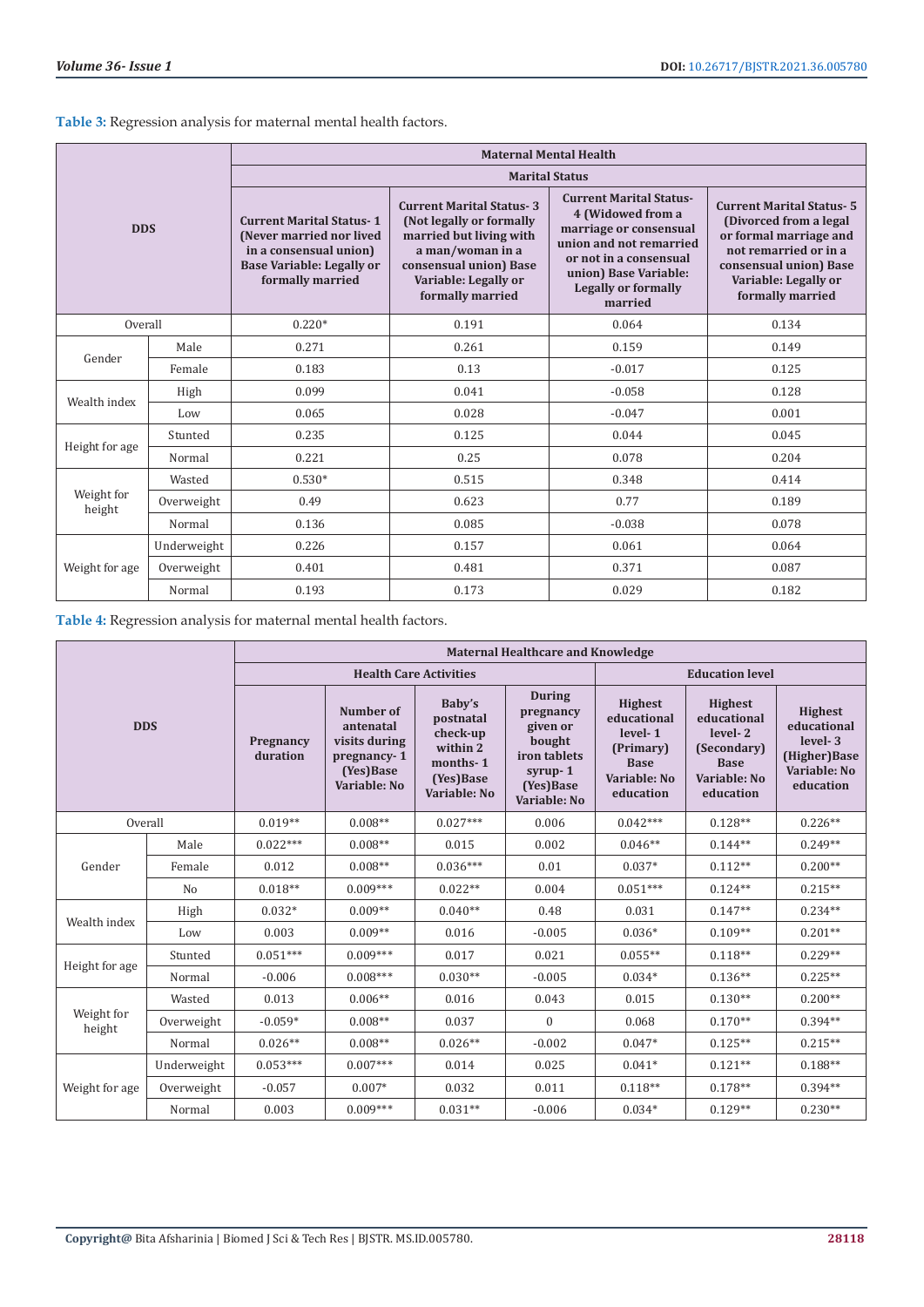**Table 3:** Regression analysis for maternal mental health factors.

| <b>DDS</b>           |             | <b>Maternal Mental Health</b>                                                                                                                 |                                                                                                                                                                                  |                                                                                                                                                                                                      |                                                                                                                                                                                     |  |  |  |
|----------------------|-------------|-----------------------------------------------------------------------------------------------------------------------------------------------|----------------------------------------------------------------------------------------------------------------------------------------------------------------------------------|------------------------------------------------------------------------------------------------------------------------------------------------------------------------------------------------------|-------------------------------------------------------------------------------------------------------------------------------------------------------------------------------------|--|--|--|
|                      |             | <b>Marital Status</b>                                                                                                                         |                                                                                                                                                                                  |                                                                                                                                                                                                      |                                                                                                                                                                                     |  |  |  |
|                      |             | <b>Current Marital Status-1</b><br>(Never married nor lived<br>in a consensual union)<br><b>Base Variable: Legally or</b><br>formally married | <b>Current Marital Status-3</b><br>(Not legally or formally<br>married but living with<br>a man/woman in a<br>consensual union) Base<br>Variable: Legally or<br>formally married | <b>Current Marital Status-</b><br>4 (Widowed from a<br>marriage or consensual<br>union and not remarried<br>or not in a consensual<br>union) Base Variable:<br><b>Legally or formally</b><br>married | <b>Current Marital Status-5</b><br>(Divorced from a legal)<br>or formal marriage and<br>not remarried or in a<br>consensual union) Base<br>Variable: Legally or<br>formally married |  |  |  |
| Overall              |             | $0.220*$                                                                                                                                      | 0.191                                                                                                                                                                            | 0.064                                                                                                                                                                                                | 0.134                                                                                                                                                                               |  |  |  |
| Gender               | Male        | 0.271                                                                                                                                         | 0.261                                                                                                                                                                            | 0.159                                                                                                                                                                                                | 0.149                                                                                                                                                                               |  |  |  |
|                      | Female      | 0.183                                                                                                                                         | 0.13                                                                                                                                                                             | $-0.017$                                                                                                                                                                                             | 0.125                                                                                                                                                                               |  |  |  |
| Wealth index         | High        | 0.099                                                                                                                                         | 0.041                                                                                                                                                                            | $-0.058$                                                                                                                                                                                             | 0.128                                                                                                                                                                               |  |  |  |
|                      | Low         | 0.065                                                                                                                                         | 0.028                                                                                                                                                                            | $-0.047$                                                                                                                                                                                             | 0.001                                                                                                                                                                               |  |  |  |
| Height for age       | Stunted     | 0.235                                                                                                                                         | 0.125                                                                                                                                                                            | 0.044                                                                                                                                                                                                | 0.045                                                                                                                                                                               |  |  |  |
|                      | Normal      | 0.221                                                                                                                                         | 0.25                                                                                                                                                                             | 0.078                                                                                                                                                                                                | 0.204                                                                                                                                                                               |  |  |  |
| Weight for<br>height | Wasted      | $0.530*$                                                                                                                                      | 0.515                                                                                                                                                                            | 0.348                                                                                                                                                                                                | 0.414                                                                                                                                                                               |  |  |  |
|                      | Overweight  | 0.49                                                                                                                                          | 0.623                                                                                                                                                                            | 0.77                                                                                                                                                                                                 | 0.189                                                                                                                                                                               |  |  |  |
|                      | Normal      | 0.136                                                                                                                                         | 0.085                                                                                                                                                                            | $-0.038$                                                                                                                                                                                             | 0.078                                                                                                                                                                               |  |  |  |
| Weight for age       | Underweight | 0.226                                                                                                                                         | 0.157                                                                                                                                                                            | 0.061                                                                                                                                                                                                | 0.064                                                                                                                                                                               |  |  |  |
|                      | Overweight  | 0.401                                                                                                                                         | 0.481                                                                                                                                                                            | 0.371                                                                                                                                                                                                | 0.087                                                                                                                                                                               |  |  |  |
|                      | Normal      | 0.193                                                                                                                                         | 0.173                                                                                                                                                                            | 0.029                                                                                                                                                                                                | 0.182                                                                                                                                                                               |  |  |  |

**Table 4:** Regression analysis for maternal mental health factors.

| <b>DDS</b>           |                | <b>Maternal Healthcare and Knowledge</b> |                                                                                     |                                                                                      |                                                                                                             |                                                                                                   |                                                                                                     |                                                                                       |
|----------------------|----------------|------------------------------------------|-------------------------------------------------------------------------------------|--------------------------------------------------------------------------------------|-------------------------------------------------------------------------------------------------------------|---------------------------------------------------------------------------------------------------|-----------------------------------------------------------------------------------------------------|---------------------------------------------------------------------------------------|
|                      |                | <b>Health Care Activities</b>            |                                                                                     |                                                                                      |                                                                                                             | <b>Education level</b>                                                                            |                                                                                                     |                                                                                       |
|                      |                | Pregnancy<br>duration                    | Number of<br>antenatal<br>visits during<br>pregnancy-1<br>(Yes)Base<br>Variable: No | Baby's<br>postnatal<br>check-up<br>within 2<br>months-1<br>(Yes)Base<br>Variable: No | <b>During</b><br>pregnancy<br>given or<br>bought<br>iron tablets<br>$syrup-1$<br>(Yes) Base<br>Variable: No | <b>Highest</b><br>educational<br>level-1<br>(Primary)<br><b>Base</b><br>Variable: No<br>education | <b>Highest</b><br>educational<br>level-2<br>(Secondary)<br><b>Base</b><br>Variable: No<br>education | <b>Highest</b><br>educational<br>level-3<br>(Higher)Base<br>Variable: No<br>education |
| Overall              |                | $0.019**$                                | $0.008**$                                                                           | $0.027***$                                                                           | 0.006                                                                                                       | $0.042***$                                                                                        | $0.128**$                                                                                           | $0.226**$                                                                             |
|                      | Male           | $0.022***$                               | $0.008**$                                                                           | 0.015                                                                                | 0.002                                                                                                       | $0.046**$                                                                                         | $0.144**$                                                                                           | $0.249**$                                                                             |
| Gender               | Female         | 0.012                                    | $0.008**$                                                                           | $0.036***$                                                                           | 0.01                                                                                                        | $0.037*$                                                                                          | $0.112**$                                                                                           | $0.200**$                                                                             |
|                      | N <sub>o</sub> | $0.018**$                                | $0.009***$                                                                          | $0.022**$                                                                            | 0.004                                                                                                       | $0.051***$                                                                                        | $0.124**$                                                                                           | $0.215**$                                                                             |
|                      | High           | $0.032*$                                 | $0.009**$                                                                           | $0.040**$                                                                            | 0.48                                                                                                        | 0.031                                                                                             | $0.147**$                                                                                           | $0.234**$                                                                             |
| Wealth index         | Low            | 0.003                                    | $0.009**$                                                                           | 0.016                                                                                | $-0.005$                                                                                                    | $0.036*$                                                                                          | $0.109**$                                                                                           | $0.201**$                                                                             |
| Height for age       | Stunted        | $0.051***$                               | $0.009***$                                                                          | 0.017                                                                                | 0.021                                                                                                       | $0.055**$                                                                                         | $0.118**$                                                                                           | $0.229**$                                                                             |
|                      | Normal         | $-0.006$                                 | $0.008***$                                                                          | $0.030**$                                                                            | $-0.005$                                                                                                    | $0.034*$                                                                                          | $0.136**$                                                                                           | $0.225**$                                                                             |
| Weight for<br>height | Wasted         | 0.013                                    | $0.006**$                                                                           | 0.016                                                                                | 0.043                                                                                                       | 0.015                                                                                             | $0.130**$                                                                                           | $0.200**$                                                                             |
|                      | Overweight     | $-0.059*$                                | $0.008**$                                                                           | 0.037                                                                                | $\mathbf{0}$                                                                                                | 0.068                                                                                             | $0.170**$                                                                                           | $0.394**$                                                                             |
|                      | Normal         | $0.026**$                                | $0.008**$                                                                           | $0.026**$                                                                            | $-0.002$                                                                                                    | $0.047*$                                                                                          | $0.125**$                                                                                           | $0.215**$                                                                             |
| Weight for age       | Underweight    | $0.053***$                               | $0.007***$                                                                          | 0.014                                                                                | 0.025                                                                                                       | $0.041*$                                                                                          | $0.121**$                                                                                           | $0.188**$                                                                             |
|                      | Overweight     | $-0.057$                                 | $0.007*$                                                                            | 0.032                                                                                | 0.011                                                                                                       | $0.118**$                                                                                         | $0.178**$                                                                                           | $0.394**$                                                                             |
|                      | Normal         | 0.003                                    | $0.009***$                                                                          | $0.031**$                                                                            | $-0.006$                                                                                                    | $0.034*$                                                                                          | $0.129**$                                                                                           | $0.230**$                                                                             |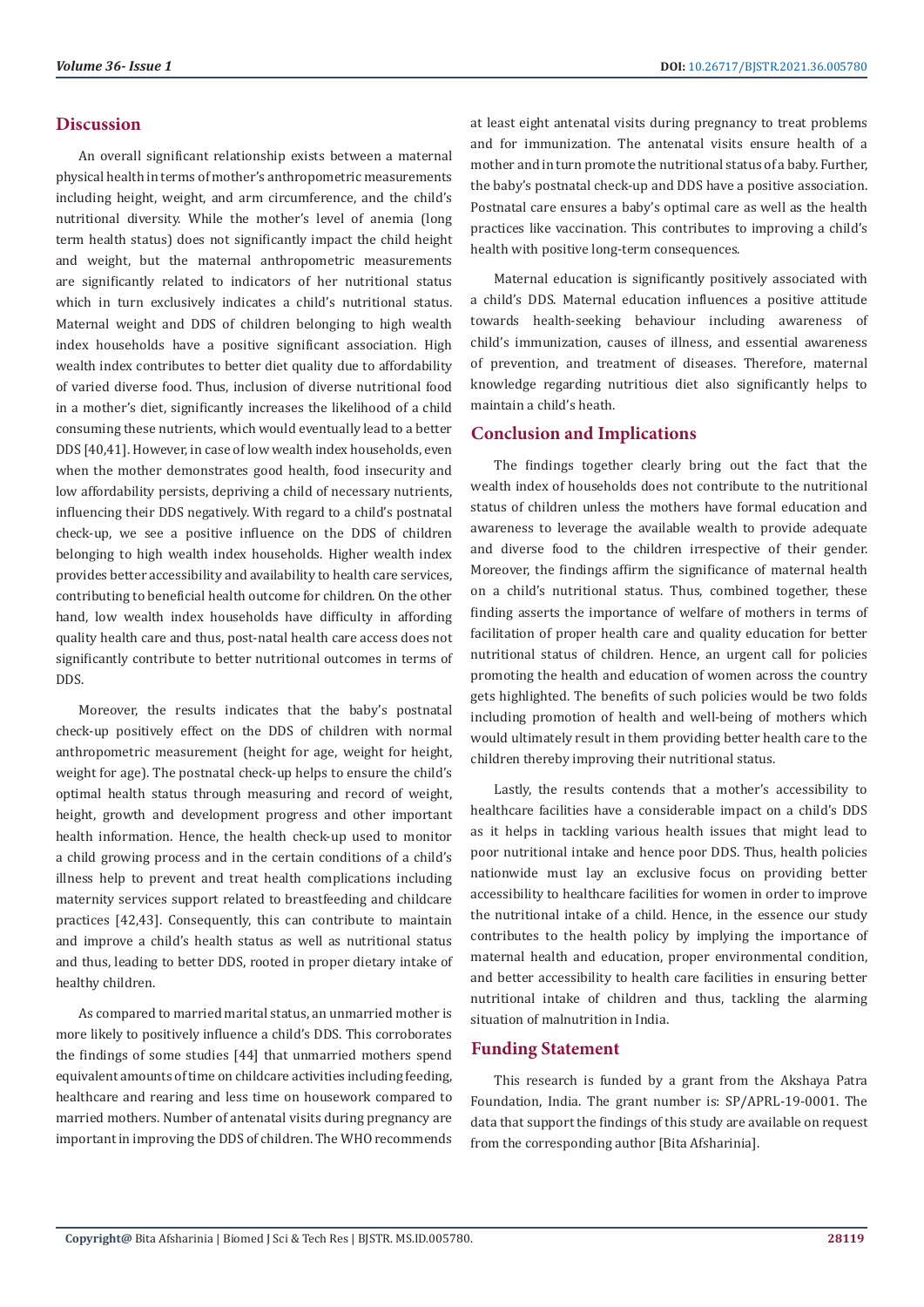#### **Discussion**

An overall significant relationship exists between a maternal physical health in terms of mother's anthropometric measurements including height, weight, and arm circumference, and the child's nutritional diversity. While the mother's level of anemia (long term health status) does not significantly impact the child height and weight, but the maternal anthropometric measurements are significantly related to indicators of her nutritional status which in turn exclusively indicates a child's nutritional status. Maternal weight and DDS of children belonging to high wealth index households have a positive significant association. High wealth index contributes to better diet quality due to affordability of varied diverse food. Thus, inclusion of diverse nutritional food in a mother's diet, significantly increases the likelihood of a child consuming these nutrients, which would eventually lead to a better DDS [40,41]. However, in case of low wealth index households, even when the mother demonstrates good health, food insecurity and low affordability persists, depriving a child of necessary nutrients, influencing their DDS negatively. With regard to a child's postnatal check-up, we see a positive influence on the DDS of children belonging to high wealth index households. Higher wealth index provides better accessibility and availability to health care services, contributing to beneficial health outcome for children. On the other hand, low wealth index households have difficulty in affording quality health care and thus, post-natal health care access does not significantly contribute to better nutritional outcomes in terms of DDS.

Moreover, the results indicates that the baby's postnatal check-up positively effect on the DDS of children with normal anthropometric measurement (height for age, weight for height, weight for age). The postnatal check-up helps to ensure the child's optimal health status through measuring and record of weight, height, growth and development progress and other important health information. Hence, the health check-up used to monitor a child growing process and in the certain conditions of a child's illness help to prevent and treat health complications including maternity services support related to breastfeeding and childcare practices [42,43]. Consequently, this can contribute to maintain and improve a child's health status as well as nutritional status and thus, leading to better DDS, rooted in proper dietary intake of healthy children.

As compared to married marital status, an unmarried mother is more likely to positively influence a child's DDS. This corroborates the findings of some studies [44] that unmarried mothers spend equivalent amounts of time on childcare activities including feeding, healthcare and rearing and less time on housework compared to married mothers. Number of antenatal visits during pregnancy are important in improving the DDS of children. The WHO recommends at least eight antenatal visits during pregnancy to treat problems and for immunization. The antenatal visits ensure health of a mother and in turn promote the nutritional status of a baby. Further, the baby's postnatal check-up and DDS have a positive association. Postnatal care ensures a baby's optimal care as well as the health practices like vaccination. This contributes to improving a child's health with positive long-term consequences.

Maternal education is significantly positively associated with a child's DDS. Maternal education influences a positive attitude towards health-seeking behaviour including awareness of child's immunization, causes of illness, and essential awareness of prevention, and treatment of diseases. Therefore, maternal knowledge regarding nutritious diet also significantly helps to maintain a child's heath.

#### **Conclusion and Implications**

The findings together clearly bring out the fact that the wealth index of households does not contribute to the nutritional status of children unless the mothers have formal education and awareness to leverage the available wealth to provide adequate and diverse food to the children irrespective of their gender. Moreover, the findings affirm the significance of maternal health on a child's nutritional status. Thus, combined together, these finding asserts the importance of welfare of mothers in terms of facilitation of proper health care and quality education for better nutritional status of children. Hence, an urgent call for policies promoting the health and education of women across the country gets highlighted. The benefits of such policies would be two folds including promotion of health and well-being of mothers which would ultimately result in them providing better health care to the children thereby improving their nutritional status.

Lastly, the results contends that a mother's accessibility to healthcare facilities have a considerable impact on a child's DDS as it helps in tackling various health issues that might lead to poor nutritional intake and hence poor DDS. Thus, health policies nationwide must lay an exclusive focus on providing better accessibility to healthcare facilities for women in order to improve the nutritional intake of a child. Hence, in the essence our study contributes to the health policy by implying the importance of maternal health and education, proper environmental condition, and better accessibility to health care facilities in ensuring better nutritional intake of children and thus, tackling the alarming situation of malnutrition in India.

#### **Funding Statement**

This research is funded by a grant from the Akshaya Patra Foundation, India. The grant number is: SP/APRL-19-0001. The data that support the findings of this study are available on request from the corresponding author [Bita Afsharinia].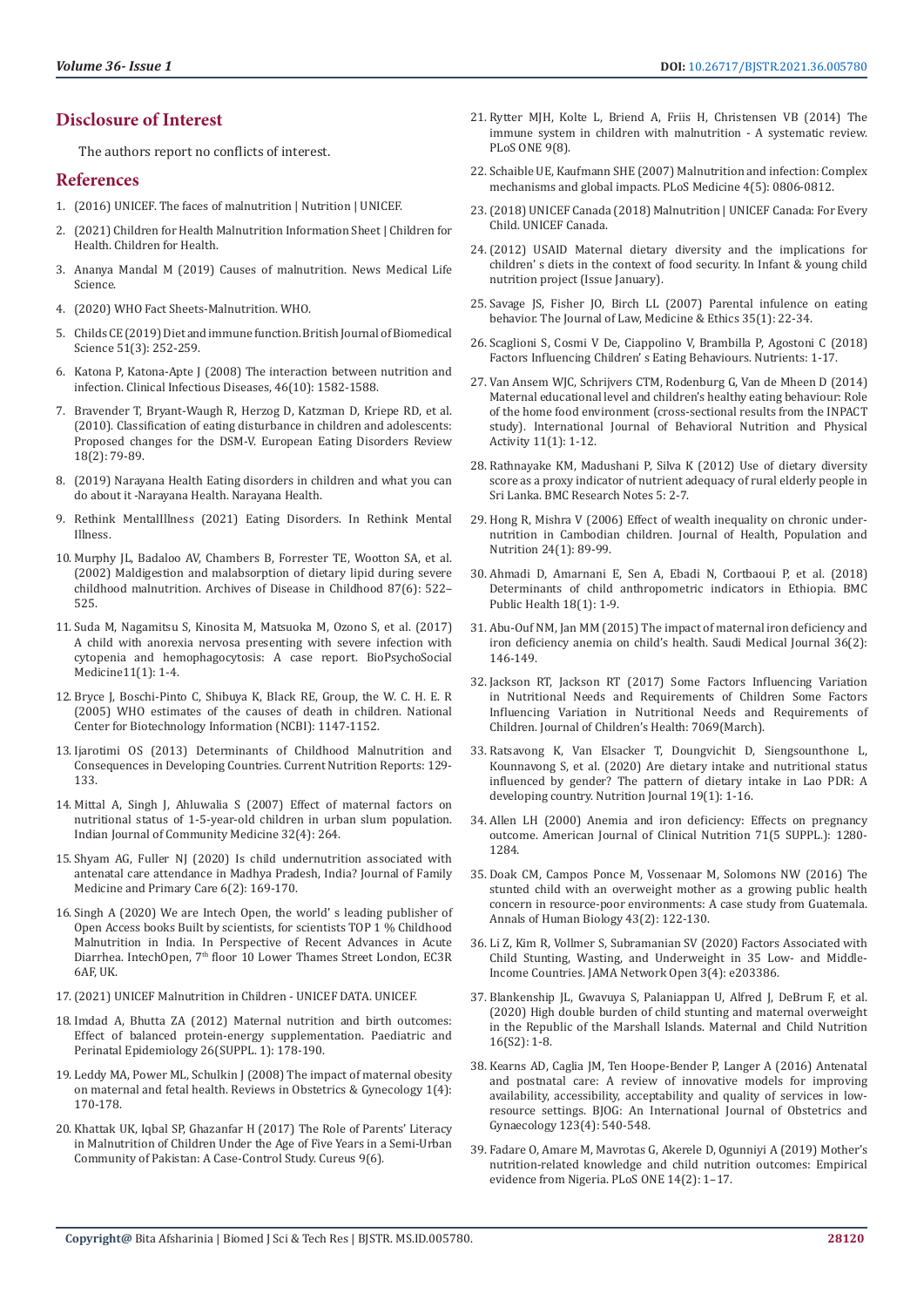## **Disclosure of Interest**

The authors report no conflicts of interest.

#### **References**

- 1. [\(2016\) UNICEF. The faces of malnutrition | Nutrition | UNICEF.](https://sites.unicef.org/nutrition/index_faces-of-malnutrition.html)
- 2. [\(2021\) Children for Health Malnutrition Information Sheet | Children for](https://www.childrenforhealth.org/malnutrition/)  [Health. Children for Health.](https://www.childrenforhealth.org/malnutrition/)
- 3. [Ananya Mandal M \(2019\) Causes of malnutrition. News Medical Life](file:///C:\Users\Lupine\Downloads\BJSTR-E-21-RA-141_14.05.2021\.%20https:\www.news-medical.net\health\Causes-of-malnutrition.aspx)  [Science.](file:///C:\Users\Lupine\Downloads\BJSTR-E-21-RA-141_14.05.2021\.%20https:\www.news-medical.net\health\Causes-of-malnutrition.aspx)
- 4. [\(2020\) WHO Fact Sheets-Malnutrition. WHO.](https://www.who.int/news-room/fact-sheets/detail/malnutrition)
- 5. [Childs CE \(2019\) Diet and immune function. British Journal of Biomedical](https://pubmed.ncbi.nlm.nih.gov/7881324/)  [Science 51\(3\): 252-259.](https://pubmed.ncbi.nlm.nih.gov/7881324/)
- 6. [Katona P, Katona-Apte J \(2008\) The interaction between nutrition and](https://pubmed.ncbi.nlm.nih.gov/18419494/)  [infection. Clinical Infectious Diseases, 46\(10\): 1582-1588.](https://pubmed.ncbi.nlm.nih.gov/18419494/)
- 7. [Bravender T, Bryant-Waugh R, Herzog D, Katzman D, Kriepe RD, et al.](https://pubmed.ncbi.nlm.nih.gov/20151366/)  [\(2010\). Classification of eating disturbance in children and adolescents:](https://pubmed.ncbi.nlm.nih.gov/20151366/)  [Proposed changes for the DSM-V. European Eating Disorders Review](https://pubmed.ncbi.nlm.nih.gov/20151366/)  [18\(2\): 79-89.](https://pubmed.ncbi.nlm.nih.gov/20151366/)
- 8. [\(2019\) Narayana Health Eating disorders in children and what you can](https://www.narayanahealth.org/blog/eating-disorders-in-children-more-common-than-you-might-think/)  [do about it -Narayana Health. Narayana Health.](https://www.narayanahealth.org/blog/eating-disorders-in-children-more-common-than-you-might-think/)
- 9. Rethink MentalIllness (2021) Eating Disorders. In Rethink Mental Illness.
- 10. [Murphy JL, Badaloo AV, Chambers B, Forrester TE, Wootton SA, et al.](https://pubmed.ncbi.nlm.nih.gov/12456554/)  [\(2002\) Maldigestion and malabsorption of dietary lipid during severe](https://pubmed.ncbi.nlm.nih.gov/12456554/)  [childhood malnutrition. Archives of Disease in Childhood 87\(6\): 522–](https://pubmed.ncbi.nlm.nih.gov/12456554/) [525.](https://pubmed.ncbi.nlm.nih.gov/12456554/)
- 11. Suda M, Nagamitsu S, Kinosita M, Matsuoka M, Ozono S, et al. (2017) A child with anorexia nervosa presenting with severe infection with cytopenia and hemophagocytosis: A case report. BioPsychoSocial Medicine11(1): 1-4.
- 12. [Bryce J, Boschi-Pinto C, Shibuya K, Black RE, Group, the W. C. H. E. R](https://pubmed.ncbi.nlm.nih.gov/15794969/)  [\(2005\) WHO estimates of the causes of death in children. National](https://pubmed.ncbi.nlm.nih.gov/15794969/)  [Center for Biotechnology Information \(NCBI\): 1147-1152.](https://pubmed.ncbi.nlm.nih.gov/15794969/)
- 13. [Ijarotimi OS \(2013\) Determinants of Childhood Malnutrition and](https://link.springer.com/article/10.1007/s13668-013-0051-5)  [Consequences in Developing Countries. Current Nutrition Reports: 129-](https://link.springer.com/article/10.1007/s13668-013-0051-5) [133.](https://link.springer.com/article/10.1007/s13668-013-0051-5)
- 14. [Mittal A, Singh J, Ahluwalia S \(2007\) Effect of maternal factors on](https://www.ijcm.org.in/article.asp?issn=0970-0218%3Byear=2007%3Bvolume=32%3Bissue=4%3Bspage=264%3Bepage=267%3Baulast=mittal)  [nutritional status of 1-5-year-old children in urban slum population.](https://www.ijcm.org.in/article.asp?issn=0970-0218%3Byear=2007%3Bvolume=32%3Bissue=4%3Bspage=264%3Bepage=267%3Baulast=mittal)  [Indian Journal of Community Medicine 32\(4\): 264.](https://www.ijcm.org.in/article.asp?issn=0970-0218%3Byear=2007%3Bvolume=32%3Bissue=4%3Bspage=264%3Bepage=267%3Baulast=mittal)
- 15. Shyam AG, Fuller NJ (2020) Is child undernutrition associated with antenatal care attendance in Madhya Pradesh, India? Journal of Family Medicine and Primary Care 6(2): 169-170.
- 16. Singh A (2020) We are Intech Open, the world' s leading publisher of Open Access books Built by scientists, for scientists TOP 1 % Childhood Malnutrition in India. In Perspective of Recent Advances in Acute Diarrhea. IntechOpen, 7<sup>th</sup> floor 10 Lower Thames Street London, EC3R 6AF, UK.
- 17.[\(2021\) UNICEF Malnutrition in Children UNICEF DATA. UNICEF.](https://data.unicef.org/topic/nutrition/malnutrition/)
- 18. [Imdad A, Bhutta ZA \(2012\) Maternal nutrition and birth outcomes:](https://pubmed.ncbi.nlm.nih.gov/22742610/)  [Effect of balanced protein-energy supplementation. Paediatric and](https://pubmed.ncbi.nlm.nih.gov/22742610/)  [Perinatal Epidemiology 26\(SUPPL. 1\): 178-190.](https://pubmed.ncbi.nlm.nih.gov/22742610/)
- 19. [Leddy MA, Power ML, Schulkin J \(2008\) The impact of maternal obesity](http://www.ncbi.nlm.nih.gov/pubmed/19173021%0Ahttp:/www.pubmedcentral.nih.gov/articlerender.fcgi?artid=PMC2621047)  [on maternal and fetal health. Reviews in Obstetrics & Gynecology 1\(4\):](http://www.ncbi.nlm.nih.gov/pubmed/19173021%0Ahttp:/www.pubmedcentral.nih.gov/articlerender.fcgi?artid=PMC2621047)  [170-178.](http://www.ncbi.nlm.nih.gov/pubmed/19173021%0Ahttp:/www.pubmedcentral.nih.gov/articlerender.fcgi?artid=PMC2621047)
- 20. [Khattak UK, Iqbal SP, Ghazanfar H \(2017\) The Role of Parents' Literacy](https://www.ncbi.nlm.nih.gov/pmc/articles/PMC5498125/)  [in Malnutrition of Children Under the Age of Five Years in a Semi-Urban](https://www.ncbi.nlm.nih.gov/pmc/articles/PMC5498125/)  [Community of Pakistan: A Case-Control Study. Cureus 9\(6\).](https://www.ncbi.nlm.nih.gov/pmc/articles/PMC5498125/)
- 21. [Rytter MJH, Kolte L, Briend A, Friis H, Christensen VB \(2014\) The](https://pubmed.ncbi.nlm.nih.gov/25153531/) [immune system in children with malnutrition - A systematic review.](https://pubmed.ncbi.nlm.nih.gov/25153531/) [PLoS ONE 9\(8\).](https://pubmed.ncbi.nlm.nih.gov/25153531/)
- 22. [Schaible UE, Kaufmann SHE \(2007\) Malnutrition and infection: Complex](https://pubmed.ncbi.nlm.nih.gov/17472433/) [mechanisms and global impacts. PLoS Medicine 4\(5\): 0806-0812.](https://pubmed.ncbi.nlm.nih.gov/17472433/)
- 23.[\(2018\) UNICEF Canada \(2018\) Malnutrition | UNICEF Canada: For Every](https://www.unicef.ca/en/malnutrition) [Child. UNICEF Canada.](https://www.unicef.ca/en/malnutrition)
- 24.(2012) USAID Maternal dietary diversity and the implications for children' s diets in the context of food security. In Infant & young child nutrition project (Issue January).
- 25. [Savage JS, Fisher JO, Birch LL \(2007\) Parental infulence on eating](https://pubmed.ncbi.nlm.nih.gov/17341215/) [behavior. The Journal of Law, Medicine & Ethics 35\(1\): 22-34.](https://pubmed.ncbi.nlm.nih.gov/17341215/)
- 26. Scaglioni S, Cosmi V De, Ciappolino V, Brambilla P, Agostoni C (2018) Factors Influencing Children' s Eating Behaviours. Nutrients: 1-17.
- 27. Van Ansem WJC, Schrijvers CTM, Rodenburg G, Van de Mheen D (2014) Maternal educational level and children's healthy eating behaviour: Role of the home food environment (cross-sectional results from the INPACT study). International Journal of Behavioral Nutrition and Physical Activity 11(1): 1-12.
- 28. Rathnayake KM, Madushani P, Silva K (2012) Use of dietary diversity score as a proxy indicator of nutrient adequacy of rural elderly people in Sri Lanka. BMC Research Notes 5: 2-7.
- 29. [Hong R, Mishra V \(2006\) Effect of wealth inequality on chronic under](https://pubmed.ncbi.nlm.nih.gov/16796155/)[nutrition in Cambodian children. Journal of Health, Population and](https://pubmed.ncbi.nlm.nih.gov/16796155/) [Nutrition 24\(1\): 89-99.](https://pubmed.ncbi.nlm.nih.gov/16796155/)
- 30. Ahmadi D, Amarnani E, Sen A, Ebadi N, Cortbaoui P, et al. (2018) Determinants of child anthropometric indicators in Ethiopia. BMC Public Health 18(1): 1-9.
- 31. [Abu-Ouf NM, Jan MM \(2015\) The impact of maternal iron deficiency and](https://www.ncbi.nlm.nih.gov/pmc/articles/PMC4375689/) [iron deficiency anemia on child's health. Saudi Medical Journal 36\(2\):](https://www.ncbi.nlm.nih.gov/pmc/articles/PMC4375689/) [146-149.](https://www.ncbi.nlm.nih.gov/pmc/articles/PMC4375689/)
- 32. Jackson RT, Jackson RT (2017) Some Factors Influencing Variation in Nutritional Needs and Requirements of Children Some Factors Influencing Variation in Nutritional Needs and Requirements of Children. Journal of Children's Health: 7069(March).
- 33. [Ratsavong K, Van Elsacker T, Doungvichit D, Siengsounthone L,](https://pubmed.ncbi.nlm.nih.gov/32278347/) [Kounnavong S, et al. \(2020\) Are dietary intake and nutritional status](https://pubmed.ncbi.nlm.nih.gov/32278347/) [influenced by gender? The pattern of dietary intake in Lao PDR: A](https://pubmed.ncbi.nlm.nih.gov/32278347/) [developing country. Nutrition Journal 19\(1\): 1-16.](https://pubmed.ncbi.nlm.nih.gov/32278347/)
- 34. [Allen LH \(2000\) Anemia and iron deficiency: Effects on pregnancy](https://pubmed.ncbi.nlm.nih.gov/10799402/) [outcome. American Journal of Clinical Nutrition 71\(5 SUPPL.\): 1280-](https://pubmed.ncbi.nlm.nih.gov/10799402/) [1284.](https://pubmed.ncbi.nlm.nih.gov/10799402/)
- 35. [Doak CM, Campos Ponce M, Vossenaar M, Solomons NW \(2016\) The](https://pubmed.ncbi.nlm.nih.gov/26863530/) [stunted child with an overweight mother as a growing public health](https://pubmed.ncbi.nlm.nih.gov/26863530/) [concern in resource-poor environments: A case study from Guatemala.](https://pubmed.ncbi.nlm.nih.gov/26863530/) [Annals of Human Biology 43\(2\): 122-130.](https://pubmed.ncbi.nlm.nih.gov/26863530/)
- 36. [Li Z, Kim R, Vollmer S, Subramanian SV \(2020\) Factors Associated with](https://pubmed.ncbi.nlm.nih.gov/32320037/) [Child Stunting, Wasting, and Underweight in 35 Low- and Middle-](https://pubmed.ncbi.nlm.nih.gov/32320037/)[Income Countries. JAMA Network Open 3\(4\): e203386.](https://pubmed.ncbi.nlm.nih.gov/32320037/)
- 37. Blankenship JL, Gwavuya S, Palaniappan U, Alfred J, DeBrum F, et al. (2020) High double burden of child stunting and maternal overweight in the Republic of the Marshall Islands. Maternal and Child Nutrition 16(S2): 1-8.
- 38. [Kearns AD, Caglia JM, Ten Hoope-Bender P, Langer A \(2016\) Antenatal](https://pubmed.ncbi.nlm.nih.gov/26694075/) [and postnatal care: A review of innovative models for improving](https://pubmed.ncbi.nlm.nih.gov/26694075/) [availability, accessibility, acceptability and quality of services in low](https://pubmed.ncbi.nlm.nih.gov/26694075/)[resource settings. BJOG: An International Journal of Obstetrics and](https://pubmed.ncbi.nlm.nih.gov/26694075/) [Gynaecology 123\(4\): 540-548.](https://pubmed.ncbi.nlm.nih.gov/26694075/)
- 39. [Fadare O, Amare M, Mavrotas G, Akerele D, Ogunniyi A \(2019\) Mother's](https://www.ncbi.nlm.nih.gov/pmc/articles/PMC6394922/) [nutrition-related knowledge and child nutrition outcomes: Empirical](https://www.ncbi.nlm.nih.gov/pmc/articles/PMC6394922/) [evidence from Nigeria. PLoS ONE 14\(2\): 1–17.](https://www.ncbi.nlm.nih.gov/pmc/articles/PMC6394922/)